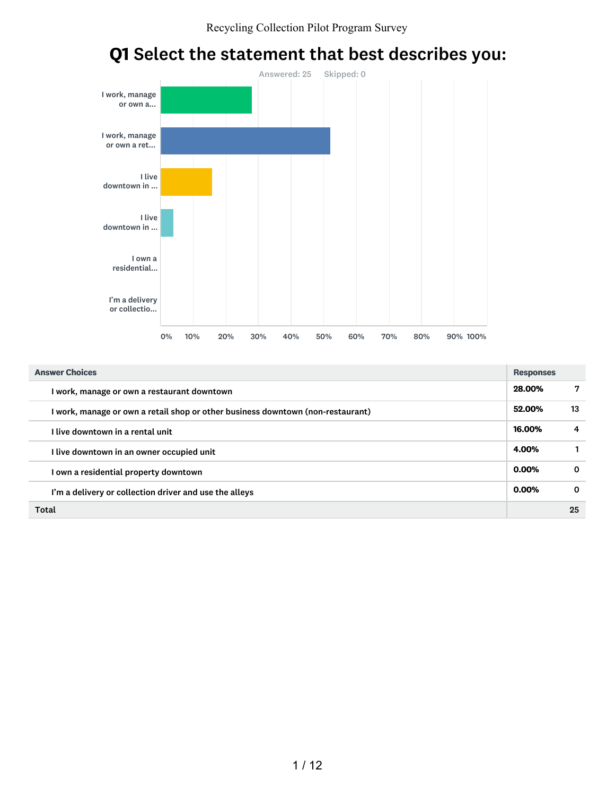

# Q1 Select the statement that best describes you:

| <b>Answer Choices</b>                                                           | <b>Responses</b> |              |
|---------------------------------------------------------------------------------|------------------|--------------|
| I work, manage or own a restaurant downtown                                     | 28.00%           | 7            |
| I work, manage or own a retail shop or other business downtown (non-restaurant) | 52.00%           | 13           |
| I live downtown in a rental unit                                                | 16.00%           | 4            |
| I live downtown in an owner occupied unit                                       | 4.00%            |              |
| I own a residential property downtown                                           | 0.00%            | $\Omega$     |
| I'm a delivery or collection driver and use the alleys                          | 0.00%            | $\mathbf{o}$ |
| Total                                                                           |                  | 25           |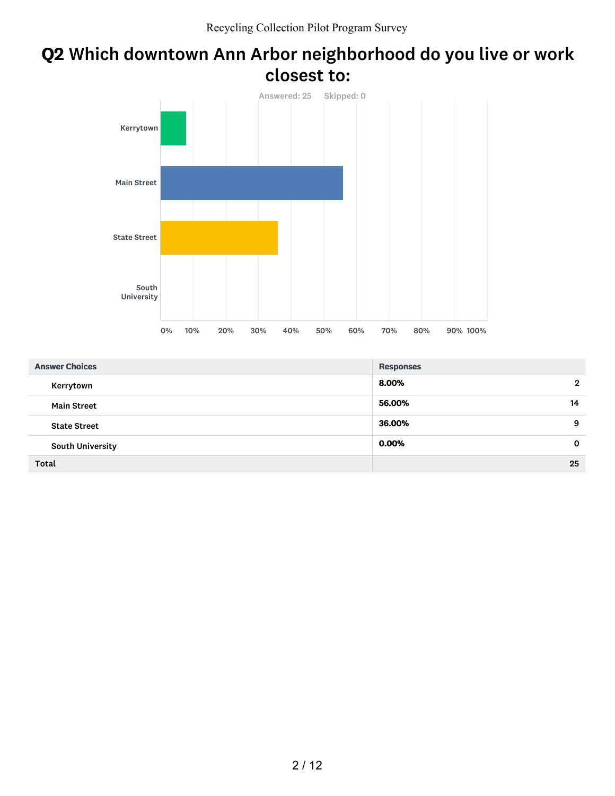### Q2 Which downtown Ann Arbor neighborhood do you live or work closest to:



| <b>Answer Choices</b>   | <b>Responses</b>      |
|-------------------------|-----------------------|
| Kerrytown               | 8.00%<br>$\mathbf{2}$ |
| <b>Main Street</b>      | 56.00%<br>14          |
| <b>State Street</b>     | 36.00%<br>9           |
| <b>South University</b> | 0.00%<br>$\mathbf{o}$ |
| Total                   | 25                    |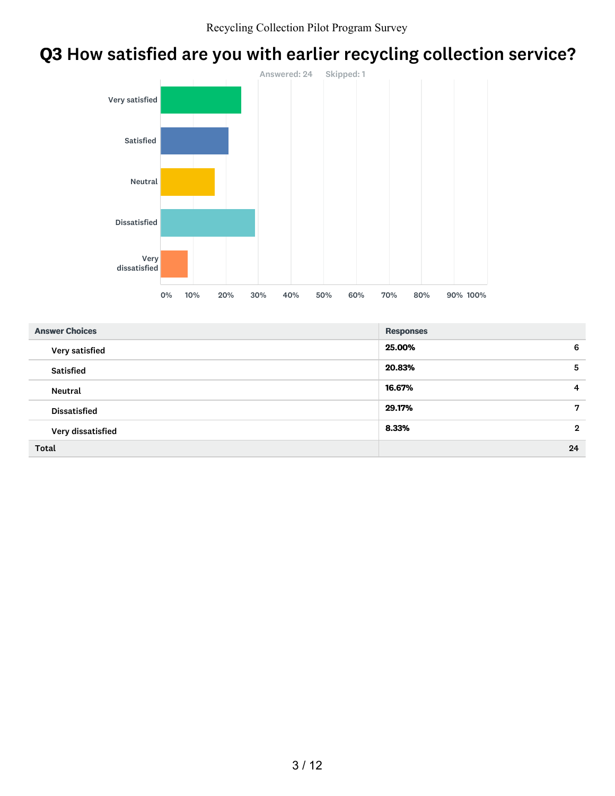# Q3 How satisfied are you with earlier recycling collection service?



| <b>Answer Choices</b> | <b>Responses</b>        |
|-----------------------|-------------------------|
| Very satisfied        | 25.00%<br>6             |
| <b>Satisfied</b>      | 20.83%<br>5             |
| Neutral               | 16.67%<br>4             |
| <b>Dissatisfied</b>   | 7<br>29.17%             |
| Very dissatisfied     | 8.33%<br>$\overline{2}$ |
| <b>Total</b>          | 24                      |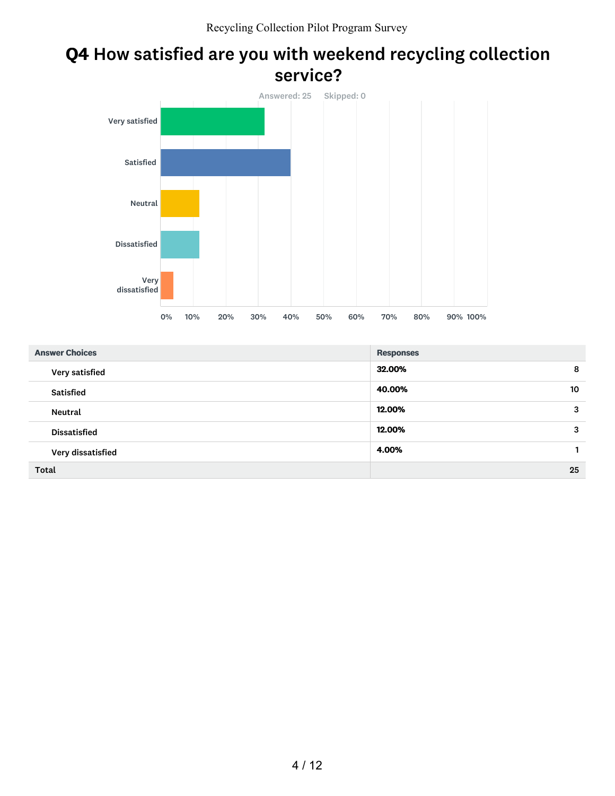### Q4 How satisfied are you with weekend recycling collection service?



| <b>Answer Choices</b> | <b>Responses</b> |
|-----------------------|------------------|
| Very satisfied        | 32.00%<br>8      |
| <b>Satisfied</b>      | 40.00%<br>10     |
| <b>Neutral</b>        | 12.00%<br>3      |
| <b>Dissatisfied</b>   | 12.00%<br>3      |
| Very dissatisfied     | 4.00%            |
| <b>Total</b>          | 25               |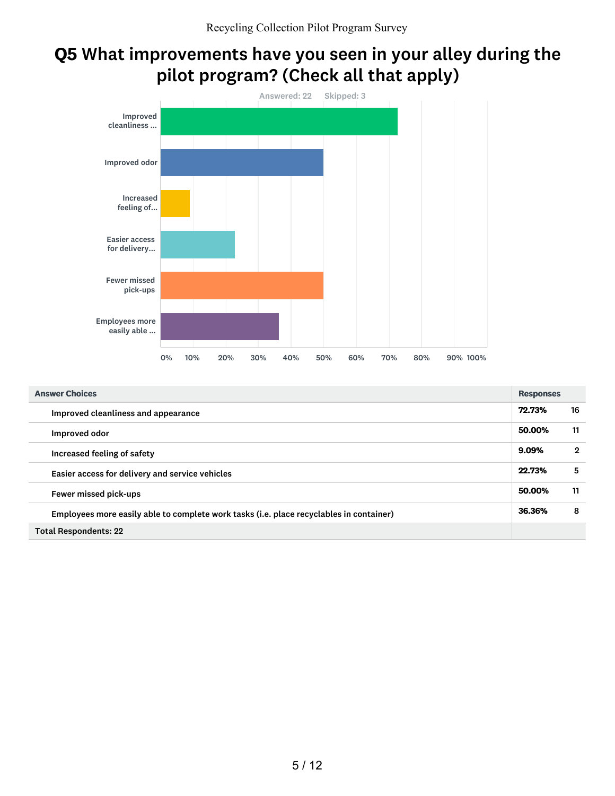### Q5 What improvements have you seen in your alley during the pilot program? (Check all that apply)



| <b>Answer Choices</b>                                                                   | <b>Responses</b> |             |
|-----------------------------------------------------------------------------------------|------------------|-------------|
| Improved cleanliness and appearance                                                     | 72.73%           | 16          |
| Improved odor                                                                           | 50.00%           | 11          |
| Increased feeling of safety                                                             | 9.09%            | $\mathbf 2$ |
| Easier access for delivery and service vehicles                                         | 22.73%           | 5           |
| Fewer missed pick-ups                                                                   | 50.00%           | 11          |
| Employees more easily able to complete work tasks (i.e. place recyclables in container) | 36.36%           | -8          |
| <b>Total Respondents: 22</b>                                                            |                  |             |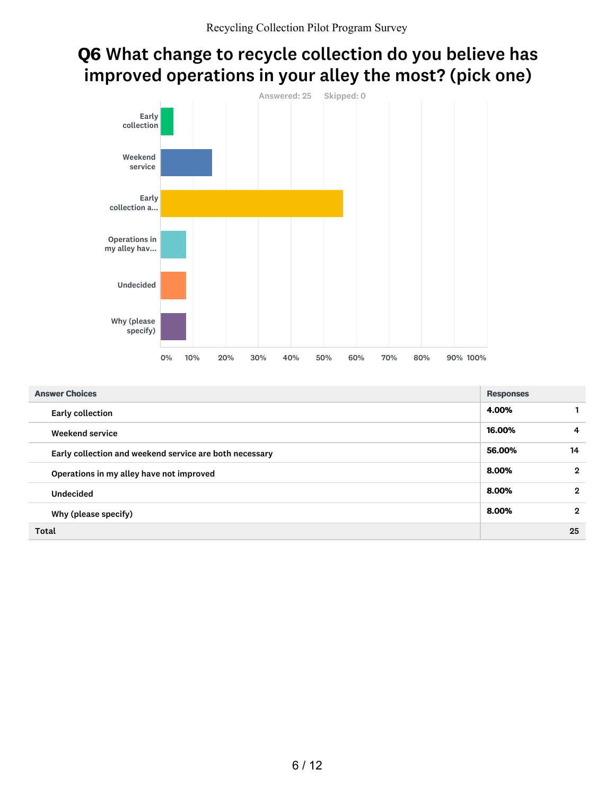## Q6 What change to recycle collection do you believe has improved operations in your alley the most? (pick one)



| <b>Answer Choices</b>                                   | <b>Responses</b> |                |
|---------------------------------------------------------|------------------|----------------|
| <b>Early collection</b>                                 | 4.00%            |                |
| Weekend service                                         | 16.00%           | $\overline{a}$ |
| Early collection and weekend service are both necessary | 56.00%           | 14             |
| Operations in my alley have not improved                | 8.00%            | $\overline{2}$ |
| <b>Undecided</b>                                        | 8.00%            | $\overline{2}$ |
| Why (please specify)                                    | 8.00%            | $\overline{2}$ |
| Total                                                   |                  | 25             |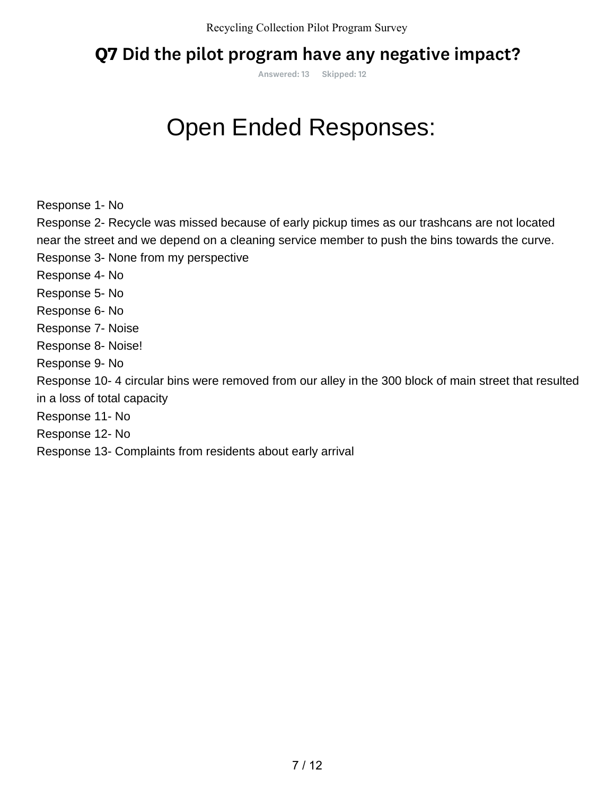### Q7 Did the pilot program have any negative impact?

Answered: 13 Skipped: 12

Response 1- No

Response 2- Recycle was missed because of early pickup times as our trashcans are not located near the street and we depend on a cleaning service member to push the bins towards the curve. Response 3- None from my perspective Response 4- No Response 5- No Response 6- No Response 7- Noise Response 8- Noise! Response 9- No Response 10- 4 circular bins were removed from our alley in the 300 block of main street that resulted in a loss of total capacity Response 11- No Response 12- No **COMPION ENDERT SERVIORS:**<br>
Response 1- No<br>
Response 2- Recycle was missed because of early pickup times as our trate<br>
mear the street and we depend on a cleaning service member to push the b<br>
Response 4- No<br>
Response 5- N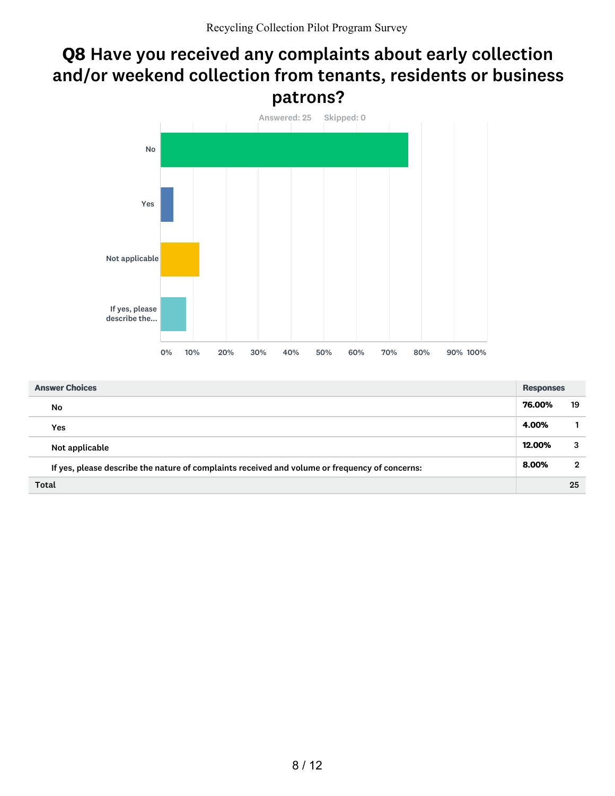### Q8 Have you received any complaints about early collection and/or weekend collection from tenants, residents or business patrons?



| <b>Answer Choices</b>                                                                          | <b>Responses</b> |              |
|------------------------------------------------------------------------------------------------|------------------|--------------|
| No                                                                                             | 76.00%           | 19           |
| Yes                                                                                            | 4.00%            | 1.           |
| Not applicable                                                                                 | 12.00%           | 3            |
| If yes, please describe the nature of complaints received and volume or frequency of concerns: | 8.00%            | $\mathbf{2}$ |
| Total                                                                                          |                  | 25           |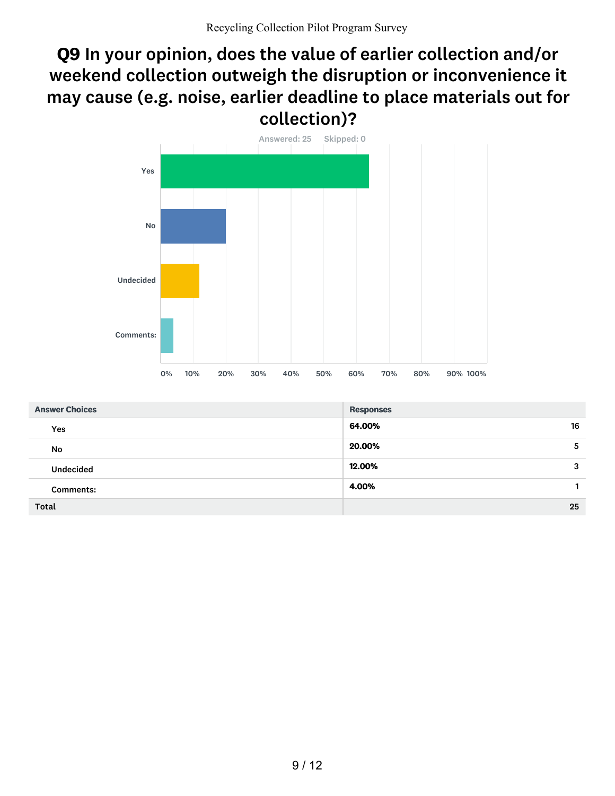### Q9 In your opinion, does the value of earlier collection and/or weekend collection outweigh the disruption or inconvenience it may cause (e.g. noise, earlier deadline to place materials out for collection)?



| <b>Answer Choices</b> | <b>Responses</b> |
|-----------------------|------------------|
| Yes                   | 16<br>64.00%     |
| No                    | 20.00%<br>5      |
| <b>Undecided</b>      | 12.00%<br>3      |
| <b>Comments:</b>      | 4.00%            |
| <b>Total</b>          | 25               |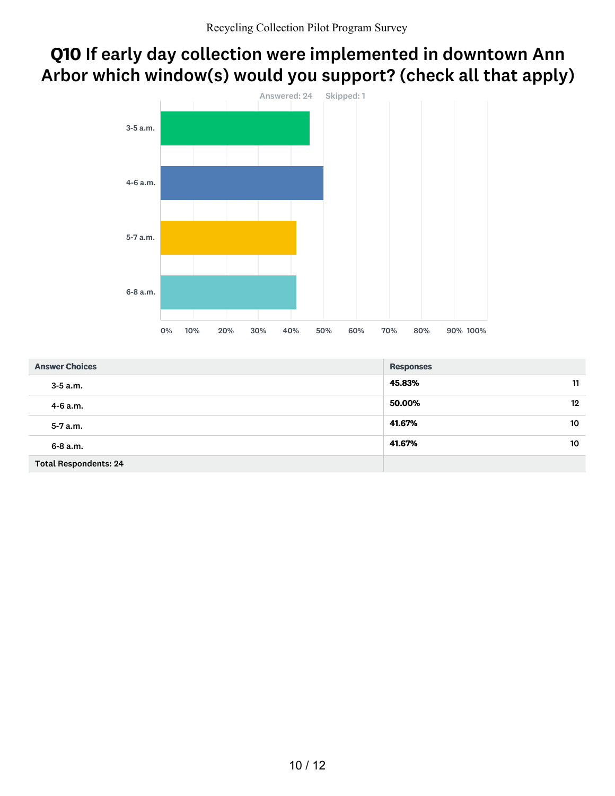## Q10 If early day collection were implemented in downtown Ann Arbor which window(s) would you support? (check all that apply)



| <b>Answer Choices</b>        | <b>Responses</b>  |
|------------------------------|-------------------|
| $3 - 5$ a.m.                 | 45.83%<br>11      |
| 4-6 a.m.                     | 50.00%<br>$12 \,$ |
| $5 - 7$ a.m.                 | 41.67%<br>10      |
| $6 - 8$ a.m.                 | 41.67%<br>10      |
| <b>Total Respondents: 24</b> |                   |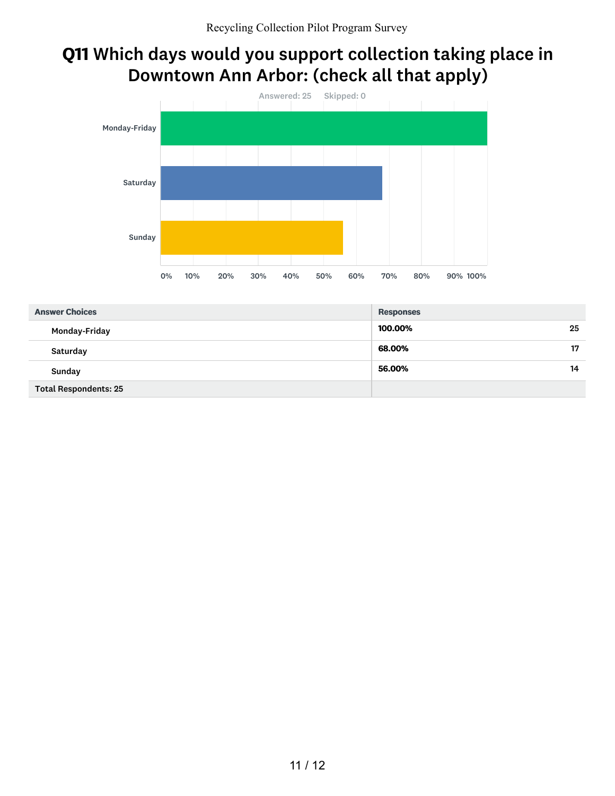### Q11 Which days would you support collection taking place in Downtown Ann Arbor: (check all that apply)



| <b>Answer Choices</b>        | <b>Responses</b> |
|------------------------------|------------------|
| Monday-Friday                | 100.00%<br>25    |
| Saturday                     | 17<br>68.00%     |
| Sunday                       | 56.00%<br>14     |
| <b>Total Respondents: 25</b> |                  |

### 11 / 12